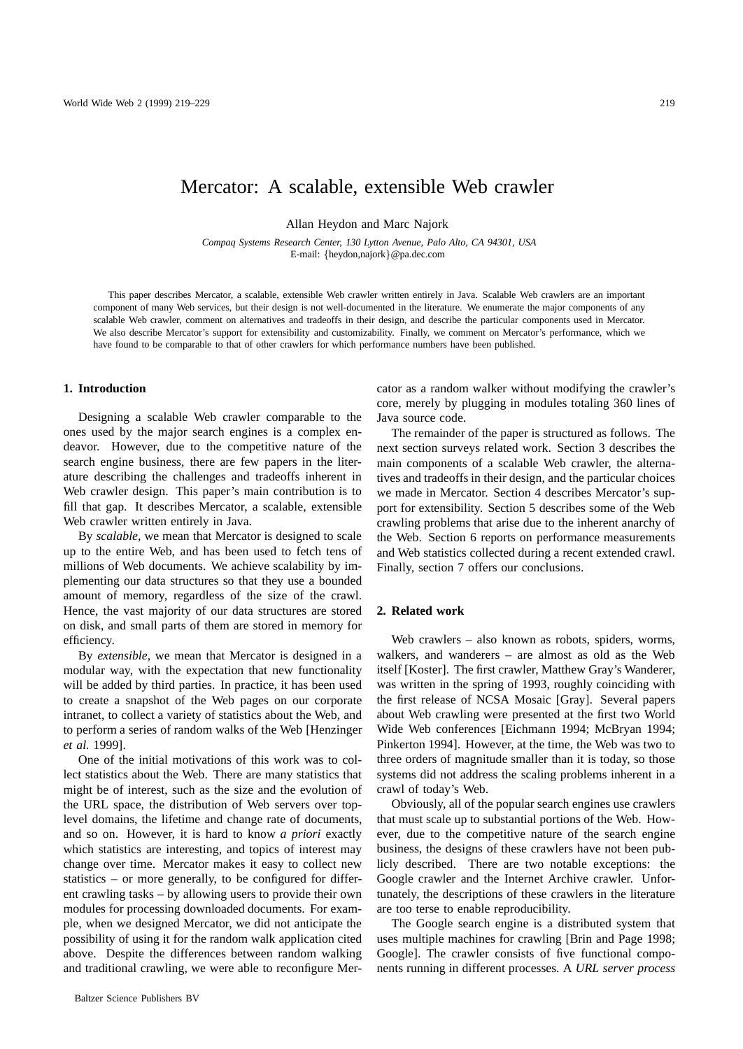# Mercator: A scalable, extensible Web crawler

Allan Heydon and Marc Najork

*Compaq Systems Research Center, 130 Lytton Avenue, Palo Alto, CA 94301, USA* E-mail: {heydon,najork}@pa.dec.com

This paper describes Mercator, a scalable, extensible Web crawler written entirely in Java. Scalable Web crawlers are an important component of many Web services, but their design is not well-documented in the literature. We enumerate the major components of any scalable Web crawler, comment on alternatives and tradeoffs in their design, and describe the particular components used in Mercator. We also describe Mercator's support for extensibility and customizability. Finally, we comment on Mercator's performance, which we have found to be comparable to that of other crawlers for which performance numbers have been published.

### **1. Introduction**

Designing a scalable Web crawler comparable to the ones used by the major search engines is a complex endeavor. However, due to the competitive nature of the search engine business, there are few papers in the literature describing the challenges and tradeoffs inherent in Web crawler design. This paper's main contribution is to fill that gap. It describes Mercator, a scalable, extensible Web crawler written entirely in Java.

By *scalable*, we mean that Mercator is designed to scale up to the entire Web, and has been used to fetch tens of millions of Web documents. We achieve scalability by implementing our data structures so that they use a bounded amount of memory, regardless of the size of the crawl. Hence, the vast majority of our data structures are stored on disk, and small parts of them are stored in memory for efficiency.

By *extensible*, we mean that Mercator is designed in a modular way, with the expectation that new functionality will be added by third parties. In practice, it has been used to create a snapshot of the Web pages on our corporate intranet, to collect a variety of statistics about the Web, and to perform a series of random walks of the Web [Henzinger *et al.* 1999].

One of the initial motivations of this work was to collect statistics about the Web. There are many statistics that might be of interest, such as the size and the evolution of the URL space, the distribution of Web servers over toplevel domains, the lifetime and change rate of documents, and so on. However, it is hard to know *a priori* exactly which statistics are interesting, and topics of interest may change over time. Mercator makes it easy to collect new statistics – or more generally, to be configured for different crawling tasks – by allowing users to provide their own modules for processing downloaded documents. For example, when we designed Mercator, we did not anticipate the possibility of using it for the random walk application cited above. Despite the differences between random walking and traditional crawling, we were able to reconfigure Mercator as a random walker without modifying the crawler's core, merely by plugging in modules totaling 360 lines of Java source code.

The remainder of the paper is structured as follows. The next section surveys related work. Section 3 describes the main components of a scalable Web crawler, the alternatives and tradeoffs in their design, and the particular choices we made in Mercator. Section 4 describes Mercator's support for extensibility. Section 5 describes some of the Web crawling problems that arise due to the inherent anarchy of the Web. Section 6 reports on performance measurements and Web statistics collected during a recent extended crawl. Finally, section 7 offers our conclusions.

### **2. Related work**

Web crawlers – also known as robots, spiders, worms, walkers, and wanderers – are almost as old as the Web itself [Koster]. The first crawler, Matthew Gray's Wanderer, was written in the spring of 1993, roughly coinciding with the first release of NCSA Mosaic [Gray]. Several papers about Web crawling were presented at the first two World Wide Web conferences [Eichmann 1994; McBryan 1994; Pinkerton 1994]. However, at the time, the Web was two to three orders of magnitude smaller than it is today, so those systems did not address the scaling problems inherent in a crawl of today's Web.

Obviously, all of the popular search engines use crawlers that must scale up to substantial portions of the Web. However, due to the competitive nature of the search engine business, the designs of these crawlers have not been publicly described. There are two notable exceptions: the Google crawler and the Internet Archive crawler. Unfortunately, the descriptions of these crawlers in the literature are too terse to enable reproducibility.

The Google search engine is a distributed system that uses multiple machines for crawling [Brin and Page 1998; Google]. The crawler consists of five functional components running in different processes. A *URL server process*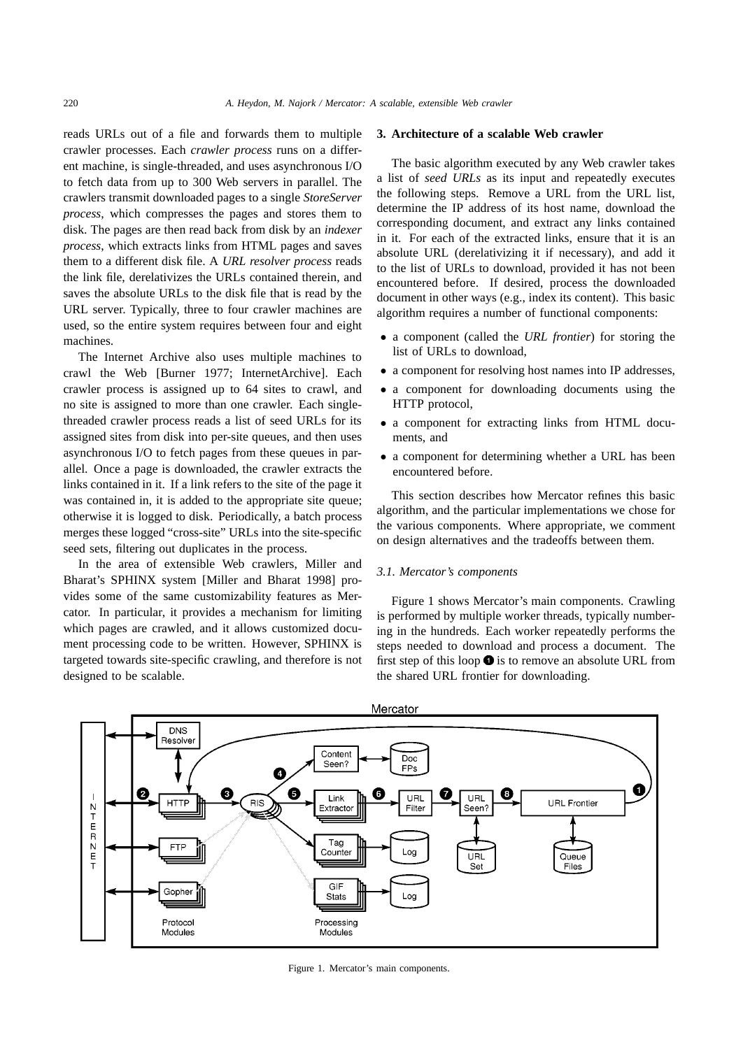reads URLs out of a file and forwards them to multiple crawler processes. Each *crawler process* runs on a different machine, is single-threaded, and uses asynchronous I/O to fetch data from up to 300 Web servers in parallel. The crawlers transmit downloaded pages to a single *StoreServer process*, which compresses the pages and stores them to disk. The pages are then read back from disk by an *indexer process*, which extracts links from HTML pages and saves them to a different disk file. A *URL resolver process* reads the link file, derelativizes the URLs contained therein, and saves the absolute URLs to the disk file that is read by the URL server. Typically, three to four crawler machines are used, so the entire system requires between four and eight machines.

The Internet Archive also uses multiple machines to crawl the Web [Burner 1977; InternetArchive]. Each crawler process is assigned up to 64 sites to crawl, and no site is assigned to more than one crawler. Each singlethreaded crawler process reads a list of seed URLs for its assigned sites from disk into per-site queues, and then uses asynchronous I/O to fetch pages from these queues in parallel. Once a page is downloaded, the crawler extracts the links contained in it. If a link refers to the site of the page it was contained in, it is added to the appropriate site queue; otherwise it is logged to disk. Periodically, a batch process merges these logged "cross-site" URLs into the site-specific seed sets, filtering out duplicates in the process.

In the area of extensible Web crawlers, Miller and Bharat's SPHINX system [Miller and Bharat 1998] provides some of the same customizability features as Mercator. In particular, it provides a mechanism for limiting which pages are crawled, and it allows customized document processing code to be written. However, SPHINX is targeted towards site-specific crawling, and therefore is not designed to be scalable.

#### **3. Architecture of a scalable Web crawler**

The basic algorithm executed by any Web crawler takes a list of *seed URLs* as its input and repeatedly executes the following steps. Remove a URL from the URL list, determine the IP address of its host name, download the corresponding document, and extract any links contained in it. For each of the extracted links, ensure that it is an absolute URL (derelativizing it if necessary), and add it to the list of URLs to download, provided it has not been encountered before. If desired, process the downloaded document in other ways (e.g., index its content). This basic algorithm requires a number of functional components:

- a component (called the *URL frontier*) for storing the list of URLs to download,
- a component for resolving host names into IP addresses,
- a component for downloading documents using the HTTP protocol,
- a component for extracting links from HTML documents, and
- a component for determining whether a URL has been encountered before.

This section describes how Mercator refines this basic algorithm, and the particular implementations we chose for the various components. Where appropriate, we comment on design alternatives and the tradeoffs between them.

### *3.1. Mercator's components*

Figure 1 shows Mercator's main components. Crawling is performed by multiple worker threads, typically numbering in the hundreds. Each worker repeatedly performs the steps needed to download and process a document. The first step of this loop  $\bullet$  is to remove an absolute URL from the shared URL frontier for downloading.



Figure 1. Mercator's main components.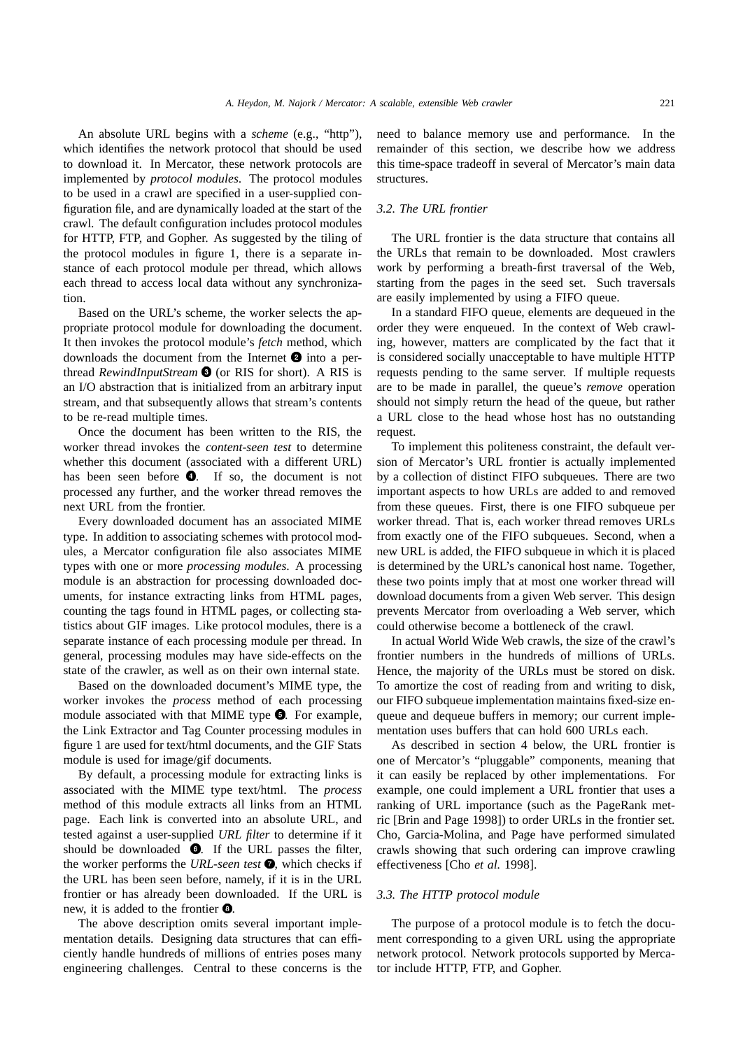An absolute URL begins with a *scheme* (e.g., "http"), which identifies the network protocol that should be used to download it. In Mercator, these network protocols are implemented by *protocol modules*. The protocol modules to be used in a crawl are specified in a user-supplied configuration file, and are dynamically loaded at the start of the crawl. The default configuration includes protocol modules for HTTP, FTP, and Gopher. As suggested by the tiling of the protocol modules in figure 1, there is a separate instance of each protocol module per thread, which allows each thread to access local data without any synchronization.

Based on the URL's scheme, the worker selects the appropriate protocol module for downloading the document. It then invokes the protocol module's *fetch* method, which downloads the document from the Internet  $\Theta$  into a perthread *RewindInputStream*  $\bullet$  (or RIS for short). A RIS is an I/O abstraction that is initialized from an arbitrary input stream, and that subsequently allows that stream's contents to be re-read multiple times.

Once the document has been written to the RIS, the worker thread invokes the *content-seen test* to determine whether this document (associated with a different URL) has been seen before  $\bullet$ . If so, the document is not processed any further, and the worker thread removes the next URL from the frontier.

Every downloaded document has an associated MIME type. In addition to associating schemes with protocol modules, a Mercator configuration file also associates MIME types with one or more *processing modules*. A processing module is an abstraction for processing downloaded documents, for instance extracting links from HTML pages, counting the tags found in HTML pages, or collecting statistics about GIF images. Like protocol modules, there is a separate instance of each processing module per thread. In general, processing modules may have side-effects on the state of the crawler, as well as on their own internal state.

Based on the downloaded document's MIME type, the worker invokes the *process* method of each processing module associated with that MIME type  $\bullet$ . For example, the Link Extractor and Tag Counter processing modules in figure 1 are used for text/html documents, and the GIF Stats module is used for image/gif documents.

By default, a processing module for extracting links is associated with the MIME type text/html. The *process* method of this module extracts all links from an HTML page. Each link is converted into an absolute URL, and tested against a user-supplied *URL filter* to determine if it should be downloaded  $\bullet$ . If the URL passes the filter, the worker performs the *URL-seen test*  $\bullet$ , which checks if the URL has been seen before, namely, if it is in the URL frontier or has already been downloaded. If the URL is new, it is added to the frontier  $\bullet$ .

The above description omits several important implementation details. Designing data structures that can efficiently handle hundreds of millions of entries poses many engineering challenges. Central to these concerns is the need to balance memory use and performance. In the remainder of this section, we describe how we address this time-space tradeoff in several of Mercator's main data structures.

### *3.2. The URL frontier*

The URL frontier is the data structure that contains all the URLs that remain to be downloaded. Most crawlers work by performing a breath-first traversal of the Web, starting from the pages in the seed set. Such traversals are easily implemented by using a FIFO queue.

In a standard FIFO queue, elements are dequeued in the order they were enqueued. In the context of Web crawling, however, matters are complicated by the fact that it is considered socially unacceptable to have multiple HTTP requests pending to the same server. If multiple requests are to be made in parallel, the queue's *remove* operation should not simply return the head of the queue, but rather a URL close to the head whose host has no outstanding request.

To implement this politeness constraint, the default version of Mercator's URL frontier is actually implemented by a collection of distinct FIFO subqueues. There are two important aspects to how URLs are added to and removed from these queues. First, there is one FIFO subqueue per worker thread. That is, each worker thread removes URLs from exactly one of the FIFO subqueues. Second, when a new URL is added, the FIFO subqueue in which it is placed is determined by the URL's canonical host name. Together, these two points imply that at most one worker thread will download documents from a given Web server. This design prevents Mercator from overloading a Web server, which could otherwise become a bottleneck of the crawl.

In actual World Wide Web crawls, the size of the crawl's frontier numbers in the hundreds of millions of URLs. Hence, the majority of the URLs must be stored on disk. To amortize the cost of reading from and writing to disk, our FIFO subqueue implementation maintains fixed-size enqueue and dequeue buffers in memory; our current implementation uses buffers that can hold 600 URLs each.

As described in section 4 below, the URL frontier is one of Mercator's "pluggable" components, meaning that it can easily be replaced by other implementations. For example, one could implement a URL frontier that uses a ranking of URL importance (such as the PageRank metric [Brin and Page 1998]) to order URLs in the frontier set. Cho, Garcia-Molina, and Page have performed simulated crawls showing that such ordering can improve crawling effectiveness [Cho *et al.* 1998].

### *3.3. The HTTP protocol module*

The purpose of a protocol module is to fetch the document corresponding to a given URL using the appropriate network protocol. Network protocols supported by Mercator include HTTP, FTP, and Gopher.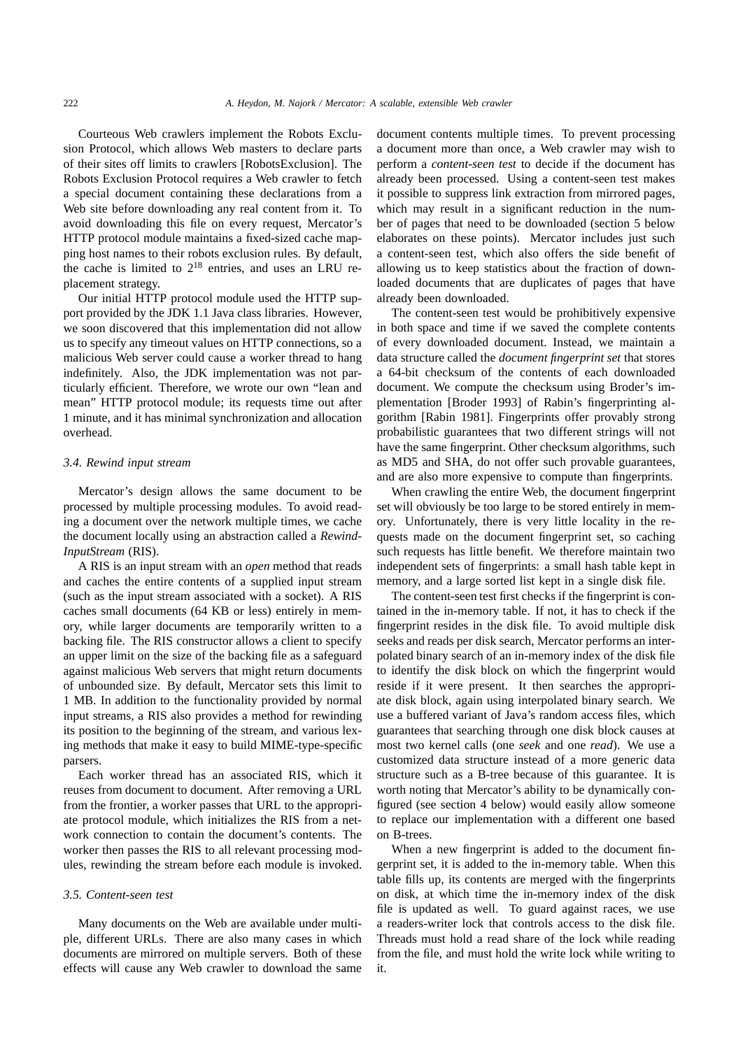Courteous Web crawlers implement the Robots Exclusion Protocol, which allows Web masters to declare parts of their sites off limits to crawlers [RobotsExclusion]. The Robots Exclusion Protocol requires a Web crawler to fetch a special document containing these declarations from a Web site before downloading any real content from it. To avoid downloading this file on every request, Mercator's HTTP protocol module maintains a fixed-sized cache mapping host names to their robots exclusion rules. By default, the cache is limited to  $2^{18}$  entries, and uses an LRU replacement strategy.

Our initial HTTP protocol module used the HTTP support provided by the JDK 1.1 Java class libraries. However, we soon discovered that this implementation did not allow us to specify any timeout values on HTTP connections, so a malicious Web server could cause a worker thread to hang indefinitely. Also, the JDK implementation was not particularly efficient. Therefore, we wrote our own "lean and mean" HTTP protocol module; its requests time out after 1 minute, and it has minimal synchronization and allocation overhead.

### *3.4. Rewind input stream*

Mercator's design allows the same document to be processed by multiple processing modules. To avoid reading a document over the network multiple times, we cache the document locally using an abstraction called a *Rewind-InputStream* (RIS).

A RIS is an input stream with an *open* method that reads and caches the entire contents of a supplied input stream (such as the input stream associated with a socket). A RIS caches small documents (64 KB or less) entirely in memory, while larger documents are temporarily written to a backing file. The RIS constructor allows a client to specify an upper limit on the size of the backing file as a safeguard against malicious Web servers that might return documents of unbounded size. By default, Mercator sets this limit to 1 MB. In addition to the functionality provided by normal input streams, a RIS also provides a method for rewinding its position to the beginning of the stream, and various lexing methods that make it easy to build MIME-type-specific parsers.

Each worker thread has an associated RIS, which it reuses from document to document. After removing a URL from the frontier, a worker passes that URL to the appropriate protocol module, which initializes the RIS from a network connection to contain the document's contents. The worker then passes the RIS to all relevant processing modules, rewinding the stream before each module is invoked.

#### *3.5. Content-seen test*

Many documents on the Web are available under multiple, different URLs. There are also many cases in which documents are mirrored on multiple servers. Both of these effects will cause any Web crawler to download the same document contents multiple times. To prevent processing a document more than once, a Web crawler may wish to perform a *content-seen test* to decide if the document has already been processed. Using a content-seen test makes it possible to suppress link extraction from mirrored pages, which may result in a significant reduction in the number of pages that need to be downloaded (section 5 below elaborates on these points). Mercator includes just such a content-seen test, which also offers the side benefit of allowing us to keep statistics about the fraction of downloaded documents that are duplicates of pages that have already been downloaded.

The content-seen test would be prohibitively expensive in both space and time if we saved the complete contents of every downloaded document. Instead, we maintain a data structure called the *document fingerprint set* that stores a 64-bit checksum of the contents of each downloaded document. We compute the checksum using Broder's implementation [Broder 1993] of Rabin's fingerprinting algorithm [Rabin 1981]. Fingerprints offer provably strong probabilistic guarantees that two different strings will not have the same fingerprint. Other checksum algorithms, such as MD5 and SHA, do not offer such provable guarantees, and are also more expensive to compute than fingerprints.

When crawling the entire Web, the document fingerprint set will obviously be too large to be stored entirely in memory. Unfortunately, there is very little locality in the requests made on the document fingerprint set, so caching such requests has little benefit. We therefore maintain two independent sets of fingerprints: a small hash table kept in memory, and a large sorted list kept in a single disk file.

The content-seen test first checks if the fingerprint is contained in the in-memory table. If not, it has to check if the fingerprint resides in the disk file. To avoid multiple disk seeks and reads per disk search, Mercator performs an interpolated binary search of an in-memory index of the disk file to identify the disk block on which the fingerprint would reside if it were present. It then searches the appropriate disk block, again using interpolated binary search. We use a buffered variant of Java's random access files, which guarantees that searching through one disk block causes at most two kernel calls (one *seek* and one *read*). We use a customized data structure instead of a more generic data structure such as a B-tree because of this guarantee. It is worth noting that Mercator's ability to be dynamically configured (see section 4 below) would easily allow someone to replace our implementation with a different one based on B-trees.

When a new fingerprint is added to the document fingerprint set, it is added to the in-memory table. When this table fills up, its contents are merged with the fingerprints on disk, at which time the in-memory index of the disk file is updated as well. To guard against races, we use a readers-writer lock that controls access to the disk file. Threads must hold a read share of the lock while reading from the file, and must hold the write lock while writing to it.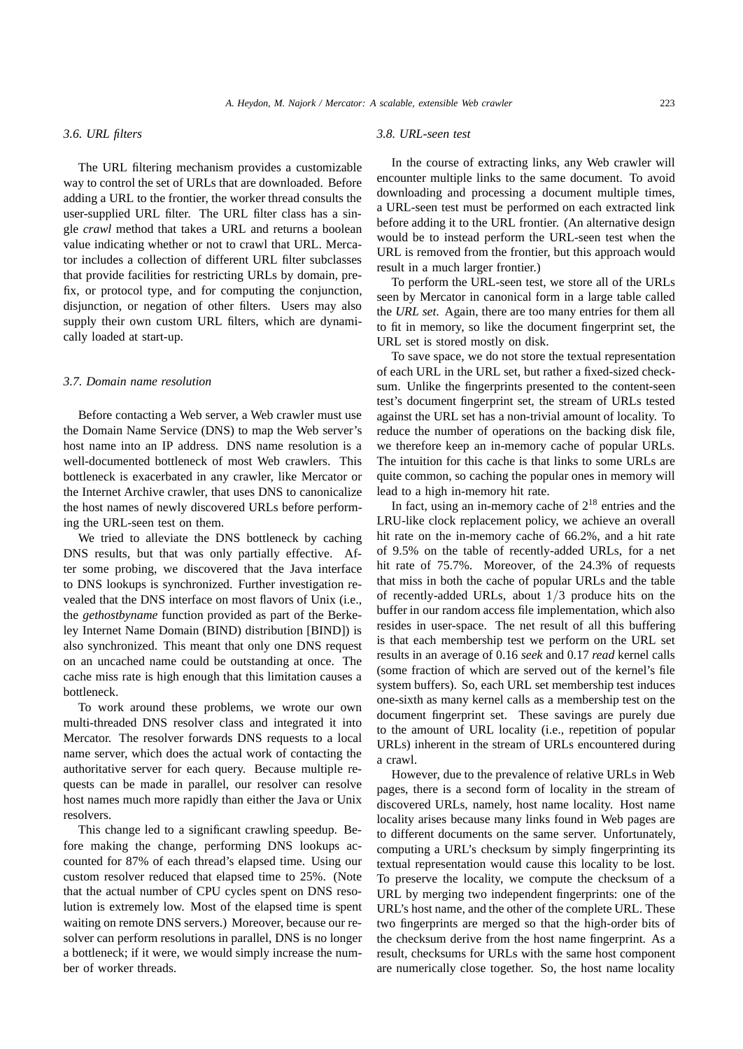### *3.6. URL filters*

The URL filtering mechanism provides a customizable way to control the set of URLs that are downloaded. Before adding a URL to the frontier, the worker thread consults the user-supplied URL filter. The URL filter class has a single *crawl* method that takes a URL and returns a boolean value indicating whether or not to crawl that URL. Mercator includes a collection of different URL filter subclasses that provide facilities for restricting URLs by domain, prefix, or protocol type, and for computing the conjunction, disjunction, or negation of other filters. Users may also supply their own custom URL filters, which are dynamically loaded at start-up.

### *3.7. Domain name resolution*

Before contacting a Web server, a Web crawler must use the Domain Name Service (DNS) to map the Web server's host name into an IP address. DNS name resolution is a well-documented bottleneck of most Web crawlers. This bottleneck is exacerbated in any crawler, like Mercator or the Internet Archive crawler, that uses DNS to canonicalize the host names of newly discovered URLs before performing the URL-seen test on them.

We tried to alleviate the DNS bottleneck by caching DNS results, but that was only partially effective. After some probing, we discovered that the Java interface to DNS lookups is synchronized. Further investigation revealed that the DNS interface on most flavors of Unix (i.e., the *gethostbyname* function provided as part of the Berkeley Internet Name Domain (BIND) distribution [BIND]) is also synchronized. This meant that only one DNS request on an uncached name could be outstanding at once. The cache miss rate is high enough that this limitation causes a bottleneck.

To work around these problems, we wrote our own multi-threaded DNS resolver class and integrated it into Mercator. The resolver forwards DNS requests to a local name server, which does the actual work of contacting the authoritative server for each query. Because multiple requests can be made in parallel, our resolver can resolve host names much more rapidly than either the Java or Unix resolvers.

This change led to a significant crawling speedup. Before making the change, performing DNS lookups accounted for 87% of each thread's elapsed time. Using our custom resolver reduced that elapsed time to 25%. (Note that the actual number of CPU cycles spent on DNS resolution is extremely low. Most of the elapsed time is spent waiting on remote DNS servers.) Moreover, because our resolver can perform resolutions in parallel, DNS is no longer a bottleneck; if it were, we would simply increase the number of worker threads.

# *3.8. URL-seen test*

In the course of extracting links, any Web crawler will encounter multiple links to the same document. To avoid downloading and processing a document multiple times, a URL-seen test must be performed on each extracted link before adding it to the URL frontier. (An alternative design would be to instead perform the URL-seen test when the URL is removed from the frontier, but this approach would result in a much larger frontier.)

To perform the URL-seen test, we store all of the URLs seen by Mercator in canonical form in a large table called the *URL set*. Again, there are too many entries for them all to fit in memory, so like the document fingerprint set, the URL set is stored mostly on disk.

To save space, we do not store the textual representation of each URL in the URL set, but rather a fixed-sized checksum. Unlike the fingerprints presented to the content-seen test's document fingerprint set, the stream of URLs tested against the URL set has a non-trivial amount of locality. To reduce the number of operations on the backing disk file, we therefore keep an in-memory cache of popular URLs. The intuition for this cache is that links to some URLs are quite common, so caching the popular ones in memory will lead to a high in-memory hit rate.

In fact, using an in-memory cache of  $2^{18}$  entries and the LRU-like clock replacement policy, we achieve an overall hit rate on the in-memory cache of 66.2%, and a hit rate of 9.5% on the table of recently-added URLs, for a net hit rate of 75.7%. Moreover, of the 24.3% of requests that miss in both the cache of popular URLs and the table of recently-added URLs, about 1/3 produce hits on the buffer in our random access file implementation, which also resides in user-space. The net result of all this buffering is that each membership test we perform on the URL set results in an average of 0.16 *seek* and 0.17 *read* kernel calls (some fraction of which are served out of the kernel's file system buffers). So, each URL set membership test induces one-sixth as many kernel calls as a membership test on the document fingerprint set. These savings are purely due to the amount of URL locality (i.e., repetition of popular URLs) inherent in the stream of URLs encountered during a crawl.

However, due to the prevalence of relative URLs in Web pages, there is a second form of locality in the stream of discovered URLs, namely, host name locality. Host name locality arises because many links found in Web pages are to different documents on the same server. Unfortunately, computing a URL's checksum by simply fingerprinting its textual representation would cause this locality to be lost. To preserve the locality, we compute the checksum of a URL by merging two independent fingerprints: one of the URL's host name, and the other of the complete URL. These two fingerprints are merged so that the high-order bits of the checksum derive from the host name fingerprint. As a result, checksums for URLs with the same host component are numerically close together. So, the host name locality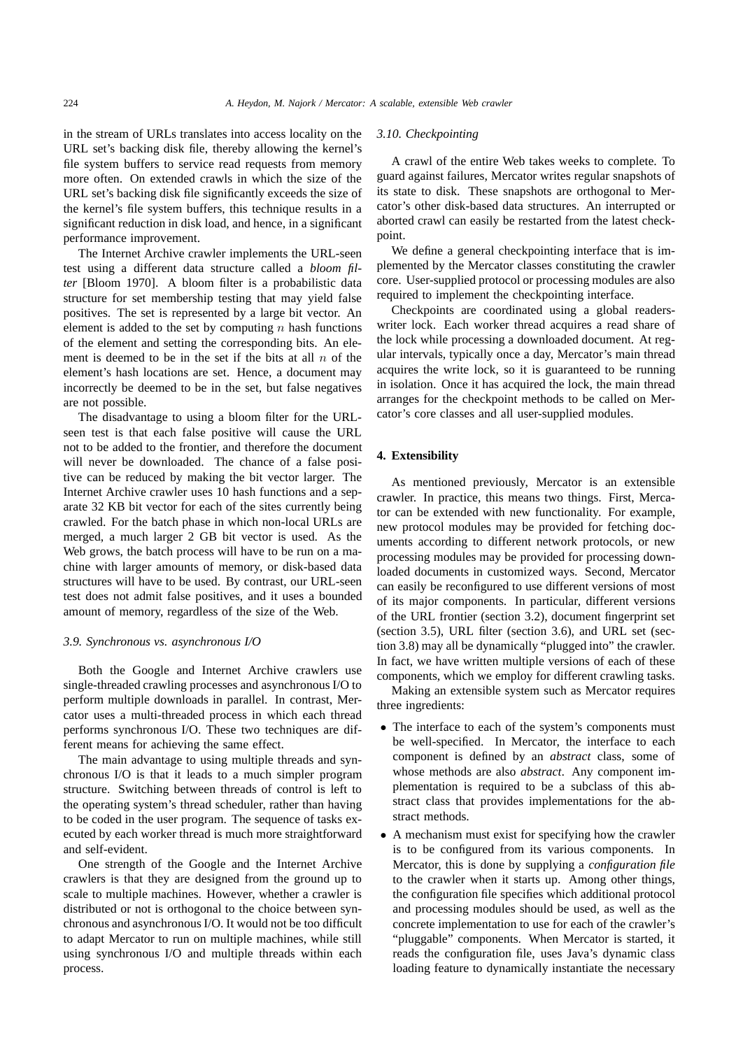in the stream of URLs translates into access locality on the URL set's backing disk file, thereby allowing the kernel's file system buffers to service read requests from memory more often. On extended crawls in which the size of the URL set's backing disk file significantly exceeds the size of the kernel's file system buffers, this technique results in a significant reduction in disk load, and hence, in a significant performance improvement.

The Internet Archive crawler implements the URL-seen test using a different data structure called a *bloom filter* [Bloom 1970]. A bloom filter is a probabilistic data structure for set membership testing that may yield false positives. The set is represented by a large bit vector. An element is added to the set by computing  $n$  hash functions of the element and setting the corresponding bits. An element is deemed to be in the set if the bits at all  $n$  of the element's hash locations are set. Hence, a document may incorrectly be deemed to be in the set, but false negatives are not possible.

The disadvantage to using a bloom filter for the URLseen test is that each false positive will cause the URL not to be added to the frontier, and therefore the document will never be downloaded. The chance of a false positive can be reduced by making the bit vector larger. The Internet Archive crawler uses 10 hash functions and a separate 32 KB bit vector for each of the sites currently being crawled. For the batch phase in which non-local URLs are merged, a much larger 2 GB bit vector is used. As the Web grows, the batch process will have to be run on a machine with larger amounts of memory, or disk-based data structures will have to be used. By contrast, our URL-seen test does not admit false positives, and it uses a bounded amount of memory, regardless of the size of the Web.

# *3.9. Synchronous vs. asynchronous I/O*

Both the Google and Internet Archive crawlers use single-threaded crawling processes and asynchronous I/O to perform multiple downloads in parallel. In contrast, Mercator uses a multi-threaded process in which each thread performs synchronous I/O. These two techniques are different means for achieving the same effect.

The main advantage to using multiple threads and synchronous I/O is that it leads to a much simpler program structure. Switching between threads of control is left to the operating system's thread scheduler, rather than having to be coded in the user program. The sequence of tasks executed by each worker thread is much more straightforward and self-evident.

One strength of the Google and the Internet Archive crawlers is that they are designed from the ground up to scale to multiple machines. However, whether a crawler is distributed or not is orthogonal to the choice between synchronous and asynchronous I/O. It would not be too difficult to adapt Mercator to run on multiple machines, while still using synchronous I/O and multiple threads within each process.

#### *3.10. Checkpointing*

A crawl of the entire Web takes weeks to complete. To guard against failures, Mercator writes regular snapshots of its state to disk. These snapshots are orthogonal to Mercator's other disk-based data structures. An interrupted or aborted crawl can easily be restarted from the latest checkpoint.

We define a general checkpointing interface that is implemented by the Mercator classes constituting the crawler core. User-supplied protocol or processing modules are also required to implement the checkpointing interface.

Checkpoints are coordinated using a global readerswriter lock. Each worker thread acquires a read share of the lock while processing a downloaded document. At regular intervals, typically once a day, Mercator's main thread acquires the write lock, so it is guaranteed to be running in isolation. Once it has acquired the lock, the main thread arranges for the checkpoint methods to be called on Mercator's core classes and all user-supplied modules.

#### **4. Extensibility**

As mentioned previously, Mercator is an extensible crawler. In practice, this means two things. First, Mercator can be extended with new functionality. For example, new protocol modules may be provided for fetching documents according to different network protocols, or new processing modules may be provided for processing downloaded documents in customized ways. Second, Mercator can easily be reconfigured to use different versions of most of its major components. In particular, different versions of the URL frontier (section 3.2), document fingerprint set (section 3.5), URL filter (section 3.6), and URL set (section 3.8) may all be dynamically "plugged into" the crawler. In fact, we have written multiple versions of each of these components, which we employ for different crawling tasks.

Making an extensible system such as Mercator requires three ingredients:

- The interface to each of the system's components must be well-specified. In Mercator, the interface to each component is defined by an *abstract* class, some of whose methods are also *abstract*. Any component implementation is required to be a subclass of this abstract class that provides implementations for the abstract methods.
- A mechanism must exist for specifying how the crawler is to be configured from its various components. In Mercator, this is done by supplying a *configuration file* to the crawler when it starts up. Among other things, the configuration file specifies which additional protocol and processing modules should be used, as well as the concrete implementation to use for each of the crawler's "pluggable" components. When Mercator is started, it reads the configuration file, uses Java's dynamic class loading feature to dynamically instantiate the necessary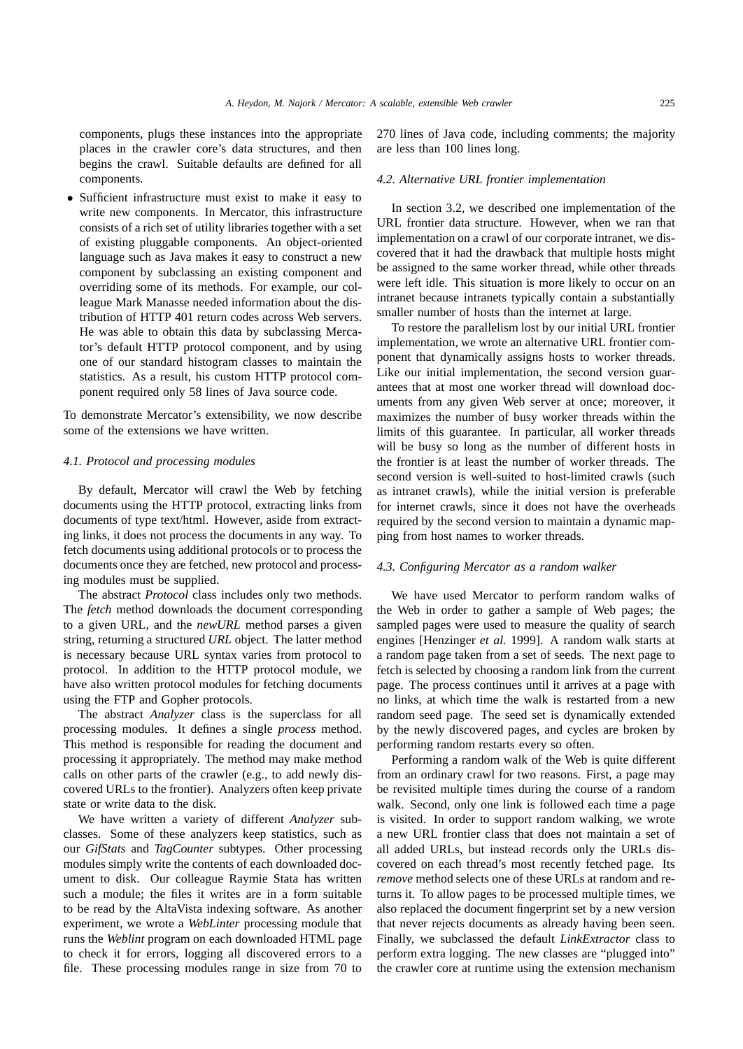components, plugs these instances into the appropriate places in the crawler core's data structures, and then begins the crawl. Suitable defaults are defined for all components.

• Sufficient infrastructure must exist to make it easy to write new components. In Mercator, this infrastructure consists of a rich set of utility libraries together with a set of existing pluggable components. An object-oriented language such as Java makes it easy to construct a new component by subclassing an existing component and overriding some of its methods. For example, our colleague Mark Manasse needed information about the distribution of HTTP 401 return codes across Web servers. He was able to obtain this data by subclassing Mercator's default HTTP protocol component, and by using one of our standard histogram classes to maintain the statistics. As a result, his custom HTTP protocol component required only 58 lines of Java source code.

To demonstrate Mercator's extensibility, we now describe some of the extensions we have written.

### *4.1. Protocol and processing modules*

By default, Mercator will crawl the Web by fetching documents using the HTTP protocol, extracting links from documents of type text/html. However, aside from extracting links, it does not process the documents in any way. To fetch documents using additional protocols or to process the documents once they are fetched, new protocol and processing modules must be supplied.

The abstract *Protocol* class includes only two methods. The *fetch* method downloads the document corresponding to a given URL, and the *newURL* method parses a given string, returning a structured *URL* object. The latter method is necessary because URL syntax varies from protocol to protocol. In addition to the HTTP protocol module, we have also written protocol modules for fetching documents using the FTP and Gopher protocols.

The abstract *Analyzer* class is the superclass for all processing modules. It defines a single *process* method. This method is responsible for reading the document and processing it appropriately. The method may make method calls on other parts of the crawler (e.g., to add newly discovered URLs to the frontier). Analyzers often keep private state or write data to the disk.

We have written a variety of different *Analyzer* subclasses. Some of these analyzers keep statistics, such as our *GifStats* and *TagCounter* subtypes. Other processing modules simply write the contents of each downloaded document to disk. Our colleague Raymie Stata has written such a module; the files it writes are in a form suitable to be read by the AltaVista indexing software. As another experiment, we wrote a *WebLinter* processing module that runs the *Weblint* program on each downloaded HTML page to check it for errors, logging all discovered errors to a file. These processing modules range in size from 70 to

270 lines of Java code, including comments; the majority are less than 100 lines long.

#### *4.2. Alternative URL frontier implementation*

In section 3.2, we described one implementation of the URL frontier data structure. However, when we ran that implementation on a crawl of our corporate intranet, we discovered that it had the drawback that multiple hosts might be assigned to the same worker thread, while other threads were left idle. This situation is more likely to occur on an intranet because intranets typically contain a substantially smaller number of hosts than the internet at large.

To restore the parallelism lost by our initial URL frontier implementation, we wrote an alternative URL frontier component that dynamically assigns hosts to worker threads. Like our initial implementation, the second version guarantees that at most one worker thread will download documents from any given Web server at once; moreover, it maximizes the number of busy worker threads within the limits of this guarantee. In particular, all worker threads will be busy so long as the number of different hosts in the frontier is at least the number of worker threads. The second version is well-suited to host-limited crawls (such as intranet crawls), while the initial version is preferable for internet crawls, since it does not have the overheads required by the second version to maintain a dynamic mapping from host names to worker threads.

### *4.3. Configuring Mercator as a random walker*

We have used Mercator to perform random walks of the Web in order to gather a sample of Web pages; the sampled pages were used to measure the quality of search engines [Henzinger *et al.* 1999]. A random walk starts at a random page taken from a set of seeds. The next page to fetch is selected by choosing a random link from the current page. The process continues until it arrives at a page with no links, at which time the walk is restarted from a new random seed page. The seed set is dynamically extended by the newly discovered pages, and cycles are broken by performing random restarts every so often.

Performing a random walk of the Web is quite different from an ordinary crawl for two reasons. First, a page may be revisited multiple times during the course of a random walk. Second, only one link is followed each time a page is visited. In order to support random walking, we wrote a new URL frontier class that does not maintain a set of all added URLs, but instead records only the URLs discovered on each thread's most recently fetched page. Its *remove* method selects one of these URLs at random and returns it. To allow pages to be processed multiple times, we also replaced the document fingerprint set by a new version that never rejects documents as already having been seen. Finally, we subclassed the default *LinkExtractor* class to perform extra logging. The new classes are "plugged into" the crawler core at runtime using the extension mechanism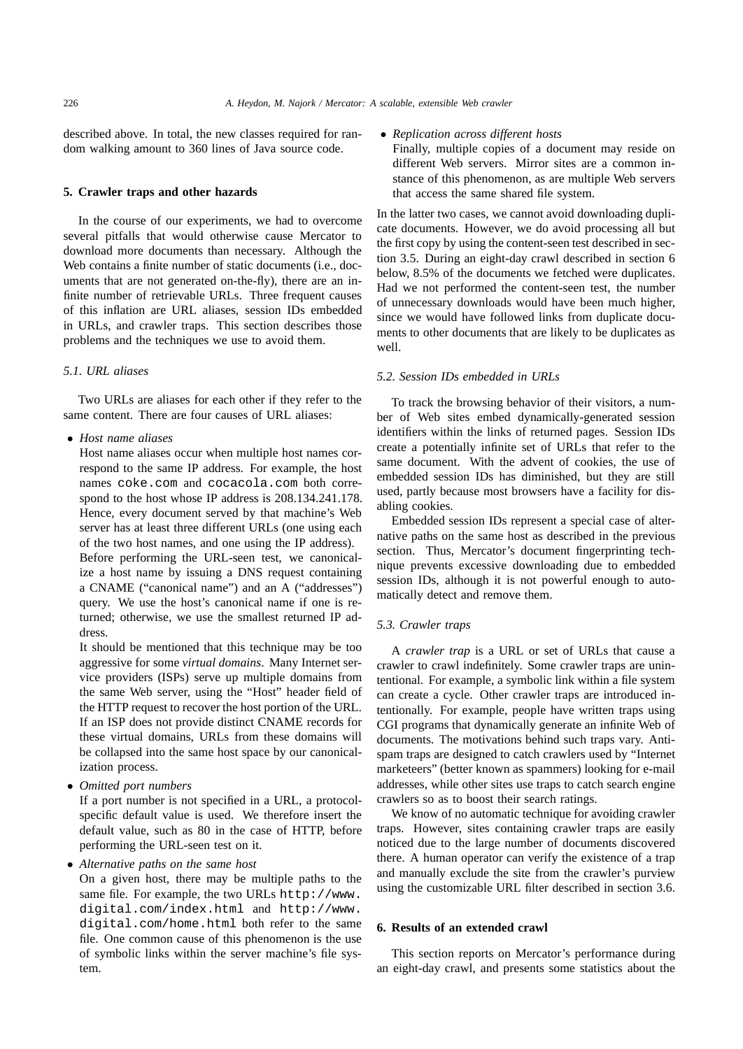described above. In total, the new classes required for random walking amount to 360 lines of Java source code.

#### **5. Crawler traps and other hazards**

In the course of our experiments, we had to overcome several pitfalls that would otherwise cause Mercator to download more documents than necessary. Although the Web contains a finite number of static documents (i.e., documents that are not generated on-the-fly), there are an infinite number of retrievable URLs. Three frequent causes of this inflation are URL aliases, session IDs embedded in URLs, and crawler traps. This section describes those problems and the techniques we use to avoid them.

## *5.1. URL aliases*

Two URLs are aliases for each other if they refer to the same content. There are four causes of URL aliases:

• *Host name aliases*

Host name aliases occur when multiple host names correspond to the same IP address. For example, the host names coke.com and cocacola.com both correspond to the host whose IP address is 208.134.241.178. Hence, every document served by that machine's Web server has at least three different URLs (one using each of the two host names, and one using the IP address). Before performing the URL-seen test, we canonicalize a host name by issuing a DNS request containing a CNAME ("canonical name") and an A ("addresses") query. We use the host's canonical name if one is returned; otherwise, we use the smallest returned IP address.

It should be mentioned that this technique may be too aggressive for some *virtual domains*. Many Internet service providers (ISPs) serve up multiple domains from the same Web server, using the "Host" header field of the HTTP request to recover the host portion of the URL. If an ISP does not provide distinct CNAME records for these virtual domains, URLs from these domains will be collapsed into the same host space by our canonicalization process.

• *Omitted port numbers*

If a port number is not specified in a URL, a protocolspecific default value is used. We therefore insert the default value, such as 80 in the case of HTTP, before performing the URL-seen test on it.

• *Alternative paths on the same host*

On a given host, there may be multiple paths to the same file. For example, the two URLs http://www. digital.com/index.html and http://www. digital.com/home.html both refer to the same file. One common cause of this phenomenon is the use of symbolic links within the server machine's file system.

• *Replication across different hosts*

Finally, multiple copies of a document may reside on different Web servers. Mirror sites are a common instance of this phenomenon, as are multiple Web servers that access the same shared file system.

In the latter two cases, we cannot avoid downloading duplicate documents. However, we do avoid processing all but the first copy by using the content-seen test described in section 3.5. During an eight-day crawl described in section 6 below, 8.5% of the documents we fetched were duplicates. Had we not performed the content-seen test, the number of unnecessary downloads would have been much higher, since we would have followed links from duplicate documents to other documents that are likely to be duplicates as well.

#### *5.2. Session IDs embedded in URLs*

To track the browsing behavior of their visitors, a number of Web sites embed dynamically-generated session identifiers within the links of returned pages. Session IDs create a potentially infinite set of URLs that refer to the same document. With the advent of cookies, the use of embedded session IDs has diminished, but they are still used, partly because most browsers have a facility for disabling cookies.

Embedded session IDs represent a special case of alternative paths on the same host as described in the previous section. Thus, Mercator's document fingerprinting technique prevents excessive downloading due to embedded session IDs, although it is not powerful enough to automatically detect and remove them.

#### *5.3. Crawler traps*

A *crawler trap* is a URL or set of URLs that cause a crawler to crawl indefinitely. Some crawler traps are unintentional. For example, a symbolic link within a file system can create a cycle. Other crawler traps are introduced intentionally. For example, people have written traps using CGI programs that dynamically generate an infinite Web of documents. The motivations behind such traps vary. Antispam traps are designed to catch crawlers used by "Internet marketeers" (better known as spammers) looking for e-mail addresses, while other sites use traps to catch search engine crawlers so as to boost their search ratings.

We know of no automatic technique for avoiding crawler traps. However, sites containing crawler traps are easily noticed due to the large number of documents discovered there. A human operator can verify the existence of a trap and manually exclude the site from the crawler's purview using the customizable URL filter described in section 3.6.

### **6. Results of an extended crawl**

This section reports on Mercator's performance during an eight-day crawl, and presents some statistics about the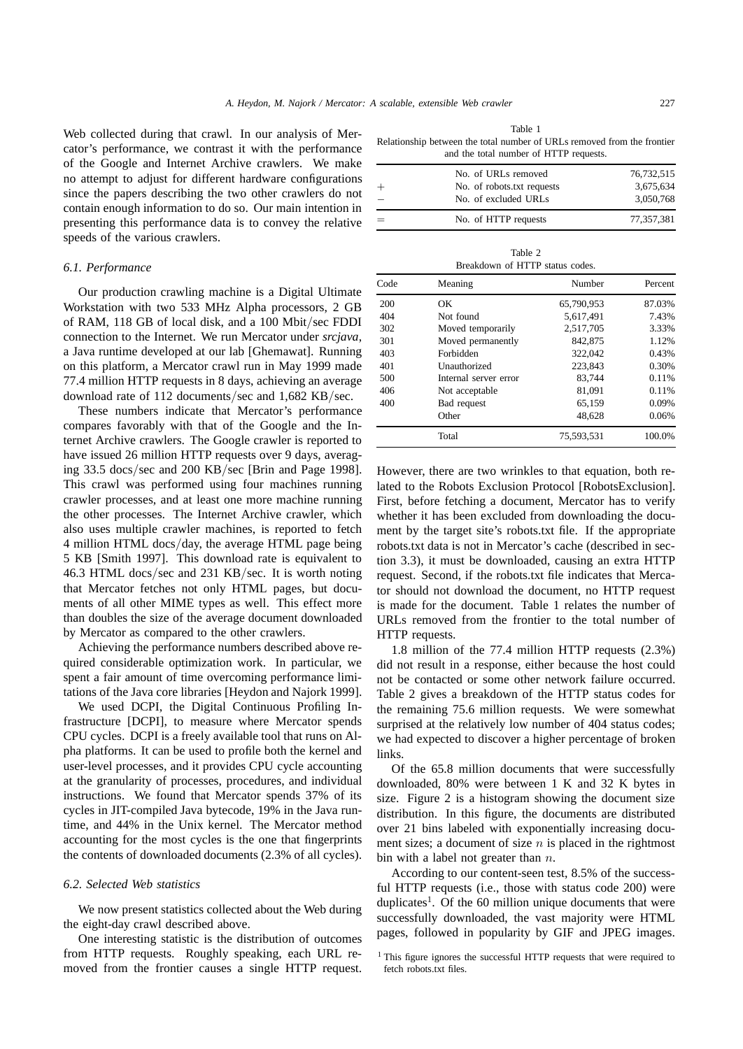Web collected during that crawl. In our analysis of Mercator's performance, we contrast it with the performance of the Google and Internet Archive crawlers. We make no attempt to adjust for different hardware configurations since the papers describing the two other crawlers do not contain enough information to do so. Our main intention in presenting this performance data is to convey the relative speeds of the various crawlers.

# *6.1. Performance*

Our production crawling machine is a Digital Ultimate Workstation with two 533 MHz Alpha processors, 2 GB of RAM, 118 GB of local disk, and a 100 Mbit/sec FDDI connection to the Internet. We run Mercator under *srcjava*, a Java runtime developed at our lab [Ghemawat]. Running on this platform, a Mercator crawl run in May 1999 made 77.4 million HTTP requests in 8 days, achieving an average download rate of 112 documents/sec and 1,682 KB/sec.

These numbers indicate that Mercator's performance compares favorably with that of the Google and the Internet Archive crawlers. The Google crawler is reported to have issued 26 million HTTP requests over 9 days, averaging 33.5 docs/sec and 200 KB/sec [Brin and Page 1998]. This crawl was performed using four machines running crawler processes, and at least one more machine running the other processes. The Internet Archive crawler, which also uses multiple crawler machines, is reported to fetch 4 million HTML docs/day, the average HTML page being 5 KB [Smith 1997]. This download rate is equivalent to 46.3 HTML docs/sec and 231 KB/sec. It is worth noting that Mercator fetches not only HTML pages, but documents of all other MIME types as well. This effect more than doubles the size of the average document downloaded by Mercator as compared to the other crawlers.

Achieving the performance numbers described above required considerable optimization work. In particular, we spent a fair amount of time overcoming performance limitations of the Java core libraries [Heydon and Najork 1999].

We used DCPI, the Digital Continuous Profiling Infrastructure [DCPI], to measure where Mercator spends CPU cycles. DCPI is a freely available tool that runs on Alpha platforms. It can be used to profile both the kernel and user-level processes, and it provides CPU cycle accounting at the granularity of processes, procedures, and individual instructions. We found that Mercator spends 37% of its cycles in JIT-compiled Java bytecode, 19% in the Java runtime, and 44% in the Unix kernel. The Mercator method accounting for the most cycles is the one that fingerprints the contents of downloaded documents (2.3% of all cycles).

#### *6.2. Selected Web statistics*

We now present statistics collected about the Web during the eight-day crawl described above.

One interesting statistic is the distribution of outcomes from HTTP requests. Roughly speaking, each URL removed from the frontier causes a single HTTP request.

Table 1 Relationship between the total number of URLs removed from the frontier and the total number of  $HTTP$  requests.

|              | and the total number of 111 II requests. |            |  |
|--------------|------------------------------------------|------------|--|
|              | No. of URLs removed                      | 76,732,515 |  |
| $\mathrm{+}$ | No. of robots.txt requests               | 3,675,634  |  |
|              | No. of excluded URLs                     | 3.050.768  |  |
| $=$          | No. of HTTP requests                     | 77,357,381 |  |

Table 2 Breakdown of HTTP status codes.

| Code | Meaning               | Number     | Percent |
|------|-----------------------|------------|---------|
| 200  | OК                    | 65,790,953 | 87.03%  |
| 404  | Not found             | 5.617.491  | 7.43%   |
| 302  | Moved temporarily     | 2.517.705  | 3.33%   |
| 301  | Moved permanently     | 842,875    | 1.12%   |
| 403  | Forbidden             | 322,042    | 0.43%   |
| 401  | Unauthorized          | 223,843    | 0.30%   |
| 500  | Internal server error | 83.744     | 0.11%   |
| 406  | Not acceptable        | 81,091     | 0.11%   |
| 400  | Bad request           | 65.159     | 0.09%   |
|      | Other                 | 48.628     | 0.06%   |
|      | Total                 | 75,593,531 | 100.0%  |

However, there are two wrinkles to that equation, both related to the Robots Exclusion Protocol [RobotsExclusion]. First, before fetching a document, Mercator has to verify whether it has been excluded from downloading the document by the target site's robots.txt file. If the appropriate robots.txt data is not in Mercator's cache (described in section 3.3), it must be downloaded, causing an extra HTTP request. Second, if the robots.txt file indicates that Mercator should not download the document, no HTTP request is made for the document. Table 1 relates the number of URLs removed from the frontier to the total number of HTTP requests.

1.8 million of the 77.4 million HTTP requests (2.3%) did not result in a response, either because the host could not be contacted or some other network failure occurred. Table 2 gives a breakdown of the HTTP status codes for the remaining 75.6 million requests. We were somewhat surprised at the relatively low number of 404 status codes; we had expected to discover a higher percentage of broken links.

Of the 65.8 million documents that were successfully downloaded, 80% were between 1 K and 32 K bytes in size. Figure 2 is a histogram showing the document size distribution. In this figure, the documents are distributed over 21 bins labeled with exponentially increasing document sizes; a document of size  $n$  is placed in the rightmost bin with a label not greater than  $n$ .

According to our content-seen test, 8.5% of the successful HTTP requests (i.e., those with status code 200) were duplicates<sup>1</sup>. Of the 60 million unique documents that were successfully downloaded, the vast majority were HTML pages, followed in popularity by GIF and JPEG images.

<sup>&</sup>lt;sup>1</sup> This figure ignores the successful HTTP requests that were required to fetch robots.txt files.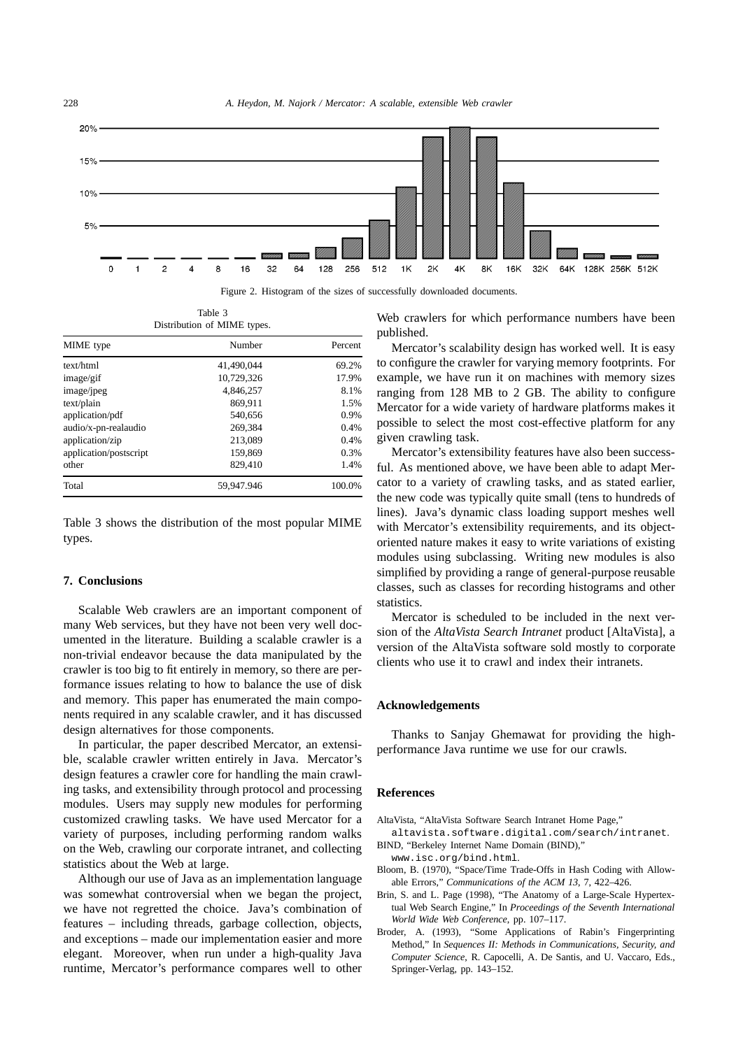228 *A. Heydon, M. Najork / Mercator: A scalable, extensible Web crawler*



Figure 2. Histogram of the sizes of successfully downloaded documents.

Table 3 Distribution of MIME types.

| MIME type              | Number     | Percent |
|------------------------|------------|---------|
| text/html              | 41.490.044 | 69.2%   |
| image/gif              | 10.729.326 | 17.9%   |
| image/jpeg             | 4,846,257  | 8.1%    |
| text/plain             | 869,911    | 1.5%    |
| application/pdf        | 540.656    | 0.9%    |
| audio/x-pn-realaudio   | 269.384    | 0.4%    |
| application/zip        | 213,089    | 0.4%    |
| application/postscript | 159,869    | 0.3%    |
| other                  | 829.410    | 1.4%    |
| Total                  | 59.947.946 | 100.0%  |

Table 3 shows the distribution of the most popular MIME types.

#### **7. Conclusions**

Scalable Web crawlers are an important component of many Web services, but they have not been very well documented in the literature. Building a scalable crawler is a non-trivial endeavor because the data manipulated by the crawler is too big to fit entirely in memory, so there are performance issues relating to how to balance the use of disk and memory. This paper has enumerated the main components required in any scalable crawler, and it has discussed design alternatives for those components.

In particular, the paper described Mercator, an extensible, scalable crawler written entirely in Java. Mercator's design features a crawler core for handling the main crawling tasks, and extensibility through protocol and processing modules. Users may supply new modules for performing customized crawling tasks. We have used Mercator for a variety of purposes, including performing random walks on the Web, crawling our corporate intranet, and collecting statistics about the Web at large.

Although our use of Java as an implementation language was somewhat controversial when we began the project, we have not regretted the choice. Java's combination of features – including threads, garbage collection, objects, and exceptions – made our implementation easier and more elegant. Moreover, when run under a high-quality Java runtime, Mercator's performance compares well to other

Web crawlers for which performance numbers have been published.

Mercator's scalability design has worked well. It is easy to configure the crawler for varying memory footprints. For example, we have run it on machines with memory sizes ranging from 128 MB to 2 GB. The ability to configure Mercator for a wide variety of hardware platforms makes it possible to select the most cost-effective platform for any given crawling task.

Mercator's extensibility features have also been successful. As mentioned above, we have been able to adapt Mercator to a variety of crawling tasks, and as stated earlier, the new code was typically quite small (tens to hundreds of lines). Java's dynamic class loading support meshes well with Mercator's extensibility requirements, and its objectoriented nature makes it easy to write variations of existing modules using subclassing. Writing new modules is also simplified by providing a range of general-purpose reusable classes, such as classes for recording histograms and other statistics.

Mercator is scheduled to be included in the next version of the *AltaVista Search Intranet* product [AltaVista], a version of the AltaVista software sold mostly to corporate clients who use it to crawl and index their intranets.

### **Acknowledgements**

Thanks to Sanjay Ghemawat for providing the highperformance Java runtime we use for our crawls.

#### **References**

AltaVista, "AltaVista Software Search Intranet Home Page,"

- altavista.software.digital.com/search/intranet. BIND, "Berkeley Internet Name Domain (BIND),"
- www.isc.org/bind.html. Bloom, B. (1970), "Space/Time Trade-Offs in Hash Coding with Allowable Errors," *Communications of the ACM 13*, 7, 422–426.
- Brin, S. and L. Page (1998), "The Anatomy of a Large-Scale Hypertextual Web Search Engine," In *Proceedings of the Seventh International World Wide Web Conference*, pp. 107–117.
- Broder, A. (1993), "Some Applications of Rabin's Fingerprinting Method," In *Sequences II: Methods in Communications, Security, and Computer Science*, R. Capocelli, A. De Santis, and U. Vaccaro, Eds., Springer-Verlag, pp. 143–152.